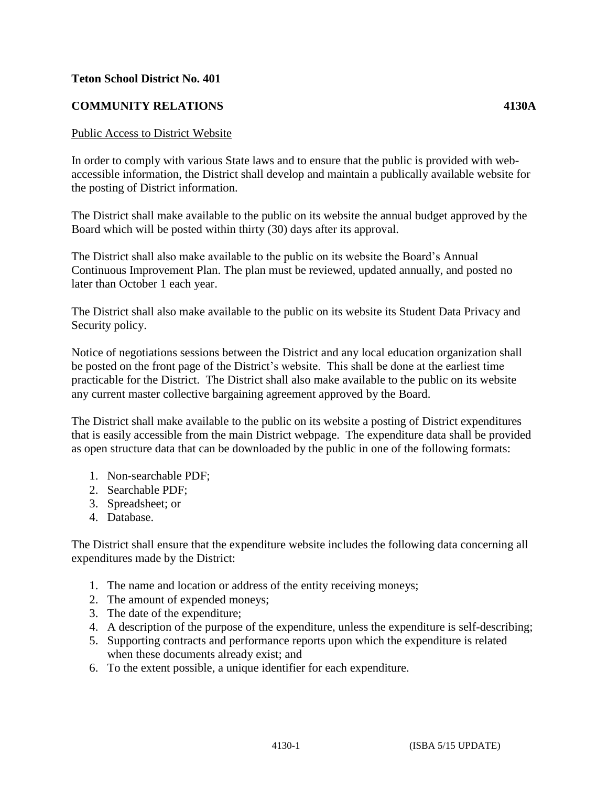## **Teton School District No. 401**

## **COMMUNITY RELATIONS 4130A**

## Public Access to District Website

In order to comply with various State laws and to ensure that the public is provided with webaccessible information, the District shall develop and maintain a publically available website for the posting of District information.

The District shall make available to the public on its website the annual budget approved by the Board which will be posted within thirty (30) days after its approval.

The District shall also make available to the public on its website the Board's Annual Continuous Improvement Plan. The plan must be reviewed, updated annually, and posted no later than October 1 each year.

The District shall also make available to the public on its website its Student Data Privacy and Security policy.

Notice of negotiations sessions between the District and any local education organization shall be posted on the front page of the District's website. This shall be done at the earliest time practicable for the District. The District shall also make available to the public on its website any current master collective bargaining agreement approved by the Board.

The District shall make available to the public on its website a posting of District expenditures that is easily accessible from the main District webpage. The expenditure data shall be provided as open structure data that can be downloaded by the public in one of the following formats:

- 1. Non-searchable PDF;
- 2. Searchable PDF;
- 3. Spreadsheet; or
- 4. Database.

The District shall ensure that the expenditure website includes the following data concerning all expenditures made by the District:

- 1. The name and location or address of the entity receiving moneys;
- 2. The amount of expended moneys;
- 3. The date of the expenditure;
- 4. A description of the purpose of the expenditure, unless the expenditure is self-describing;
- 5. Supporting contracts and performance reports upon which the expenditure is related when these documents already exist; and
- 6. To the extent possible, a unique identifier for each expenditure.